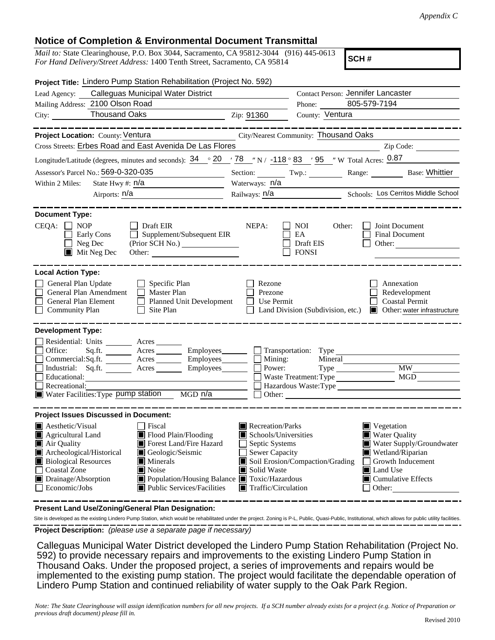## **Notice of Completion & Environmental Document Transmittal**

*Mail to:* State Clearinghouse, P.O. Box 3044, Sacramento, CA 95812-3044 (916) 445-0613 *For Hand Delivery/Street Address:* 1400 Tenth Street, Sacramento, CA 95814

**SCH #**

| Project Title: Lindero Pump Station Rehabilitation (Project No. 592)                                                                                                                                                                                                                                                                                                                          |                                                                                                                                   |                                                                                   |                                                                                                                                                                                                 |
|-----------------------------------------------------------------------------------------------------------------------------------------------------------------------------------------------------------------------------------------------------------------------------------------------------------------------------------------------------------------------------------------------|-----------------------------------------------------------------------------------------------------------------------------------|-----------------------------------------------------------------------------------|-------------------------------------------------------------------------------------------------------------------------------------------------------------------------------------------------|
| Lead Agency: Calleguas Municipal Water District                                                                                                                                                                                                                                                                                                                                               |                                                                                                                                   | Contact Person: Jennifer Lancaster                                                |                                                                                                                                                                                                 |
| Mailing Address: 2100 Olson Road                                                                                                                                                                                                                                                                                                                                                              |                                                                                                                                   | Phone:                                                                            | 805-579-7194                                                                                                                                                                                    |
| $\overline{2ip: 91360}$                                                                                                                                                                                                                                                                                                                                                                       |                                                                                                                                   | County: Ventura                                                                   |                                                                                                                                                                                                 |
| Project Location: County: Ventura                                                                                                                                                                                                                                                                                                                                                             |                                                                                                                                   | City/Nearest Community: Thousand Oaks                                             |                                                                                                                                                                                                 |
| Cross Streets: Erbes Road and East Avenida De Las Flores                                                                                                                                                                                                                                                                                                                                      |                                                                                                                                   |                                                                                   | Zip Code:                                                                                                                                                                                       |
| Longitude/Latitude (degrees, minutes and seconds): $34 \degree 20 \degree 78 \degree$ N / -118 ° 83 / 95 "W Total Acres: 0.87                                                                                                                                                                                                                                                                 |                                                                                                                                   |                                                                                   |                                                                                                                                                                                                 |
| Assessor's Parcel No.: 569-0-320-035                                                                                                                                                                                                                                                                                                                                                          |                                                                                                                                   |                                                                                   | Section: Twp.: Twp.: Range: Base: Whittier                                                                                                                                                      |
| State Hwy #: $n/a$<br>Within 2 Miles:<br><u> 1989 - Johann Barbara, martxa a</u>                                                                                                                                                                                                                                                                                                              | Waterways: n/a                                                                                                                    |                                                                                   |                                                                                                                                                                                                 |
| Airports: $n/a$                                                                                                                                                                                                                                                                                                                                                                               | Railways: <u>n/a Schools: Los Cerritos Middle School</u>                                                                          |                                                                                   |                                                                                                                                                                                                 |
| <b>Document Type:</b>                                                                                                                                                                                                                                                                                                                                                                         |                                                                                                                                   |                                                                                   |                                                                                                                                                                                                 |
| $CEQA: \Box NP$<br>Draft EIR<br>Supplement/Subsequent EIR<br>Early Cons<br>$\Box$ Neg Dec<br>(Prior SCH No.)<br>$\blacksquare$ Mit Neg Dec<br>Other:                                                                                                                                                                                                                                          | NEPA:                                                                                                                             | Other:<br>NOI.<br>EA<br>Draft EIS<br><b>FONSI</b>                                 | Joint Document<br><b>Final Document</b><br>Other:                                                                                                                                               |
| <b>Local Action Type:</b>                                                                                                                                                                                                                                                                                                                                                                     |                                                                                                                                   |                                                                                   |                                                                                                                                                                                                 |
| General Plan Update<br>Specific Plan<br>General Plan Amendment<br>$\Box$ Master Plan<br>General Plan Element<br>Planned Unit Development<br>$\Box$ Site Plan<br><b>Community Plan</b>                                                                                                                                                                                                         | Rezone<br>Prezone<br>Use Permit                                                                                                   | Land Division (Subdivision, etc.)                                                 | Annexation<br>Redevelopment<br><b>Coastal Permit</b><br>Other: water infrastructure                                                                                                             |
| <b>Development Type:</b><br>Residential: Units _________ Acres _______<br>Office:<br>Sq.ft. __________ Acres ___________ Employees_________<br>Commercial:Sq.ft. ________ Acres _________ Employees_______<br>Industrial: Sq.ft. _______ Acres _______ Employees_______<br>Educational:<br>Recreational:<br>Water Facilities: Type pump station<br>MGD n/a                                    | Mining:<br>Power:                                                                                                                 | Mineral<br>$Type \_\_$<br>Waste Treatment: Type<br>Hazardous Waste:Type<br>Other: | <b>MW</b><br>MGD                                                                                                                                                                                |
| <b>Project Issues Discussed in Document:</b>                                                                                                                                                                                                                                                                                                                                                  |                                                                                                                                   |                                                                                   |                                                                                                                                                                                                 |
| $\blacksquare$ Aesthetic/Visual<br>  Fiscal<br>Flood Plain/Flooding<br>Agricultural Land<br>Air Quality<br>Forest Land/Fire Hazard<br>Archeological/Historical<br>Geologic/Seismic<br><b>Biological Resources</b><br>$\blacksquare$ Minerals<br>Coastal Zone<br>Noise<br>Drainage/Absorption<br>■ Population/Housing Balance ■ Toxic/Hazardous<br>Public Services/Facilities<br>Economic/Jobs | Recreation/Parks<br>Schools/Universities<br>Septic Systems<br>Sewer Capacity<br>Solid Waste<br>$\blacksquare$ Traffic/Circulation | Soil Erosion/Compaction/Grading                                                   | $\blacksquare$ Vegetation<br><b>Water Quality</b><br>Water Supply/Groundwater<br>Wetland/Riparian<br>Growth Inducement<br><b>Land Use</b><br>$\blacksquare$ Cumulative Effects<br>$\Box$ Other: |

**Present Land Use/Zoning/General Plan Designation:**

**Project Description:** *(please use a separate page if necessary)* Site is developed as the existing Lindero Pump Station, which would be rehabilitated under the project. Zoning is P-L, Public, Quasi-Public, Institutional, which allows for public utility facilities.

 Calleguas Municipal Water District developed the Lindero Pump Station Rehabilitation (Project No. 592) to provide necessary repairs and improvements to the existing Lindero Pump Station in Thousand Oaks. Under the proposed project, a series of improvements and repairs would be implemented to the existing pump station. The project would facilitate the dependable operation of Lindero Pump Station and continued reliability of water supply to the Oak Park Region.

*Note: The State Clearinghouse will assign identification numbers for all new projects. If a SCH number already exists for a project (e.g. Notice of Preparation or previous draft document) please fill in.*